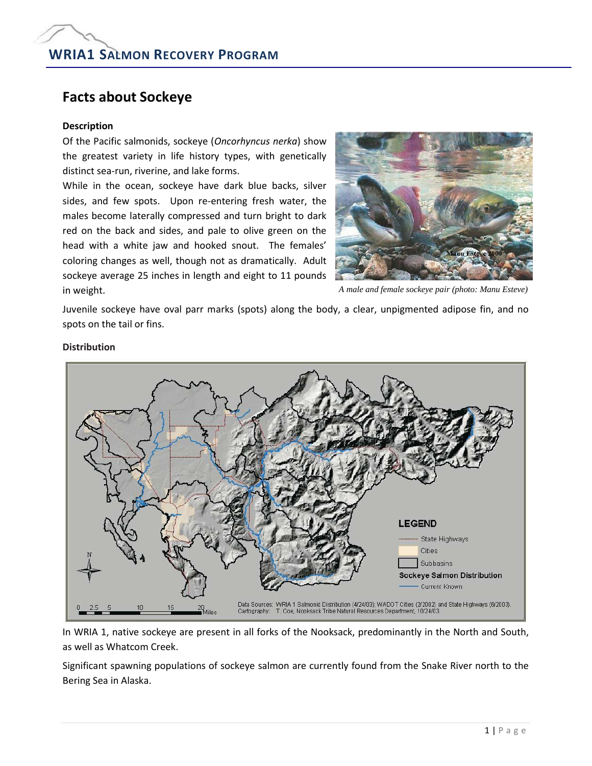# **Facts about Sockeye**

## **Description**

Of the Pacific salmonids, sockeye (*Oncorhyncus nerka*) show the greatest variety in life history types, with genetically distinct sea-run, riverine, and lake forms.

While in the ocean, sockeye have dark blue backs, silver sides, and few spots. Upon re-entering fresh water, the males become laterally compressed and turn bright to dark red on the back and sides, and pale to olive green on the head with a white jaw and hooked snout. The females' coloring changes as well, though not as dramatically. Adult sockeye average 25 inches in length and eight to 11 pounds in weight.



*A male and female sockeye pair (photo: Manu Esteve)*

Juvenile sockeye have oval parr marks (spots) along the body, a clear, unpigmented adipose fin, and no spots on the tail or fins.



# **Distribution**

In WRIA 1, native sockeye are present in all forks of the Nooksack, predominantly in the North and South, as well as Whatcom Creek.

Significant spawning populations of sockeye salmon are currently found from the Snake River north to the Bering Sea in Alaska.